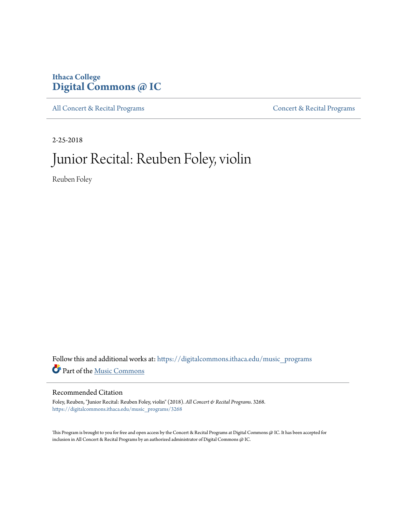# **Ithaca College [Digital Commons @ IC](https://digitalcommons.ithaca.edu?utm_source=digitalcommons.ithaca.edu%2Fmusic_programs%2F3268&utm_medium=PDF&utm_campaign=PDFCoverPages)**

[All Concert & Recital Programs](https://digitalcommons.ithaca.edu/music_programs?utm_source=digitalcommons.ithaca.edu%2Fmusic_programs%2F3268&utm_medium=PDF&utm_campaign=PDFCoverPages) **[Concert & Recital Programs](https://digitalcommons.ithaca.edu/som_programs?utm_source=digitalcommons.ithaca.edu%2Fmusic_programs%2F3268&utm_medium=PDF&utm_campaign=PDFCoverPages)** 

2-25-2018

# Junior Recital: Reuben Foley, violin

Reuben Foley

Follow this and additional works at: [https://digitalcommons.ithaca.edu/music\\_programs](https://digitalcommons.ithaca.edu/music_programs?utm_source=digitalcommons.ithaca.edu%2Fmusic_programs%2F3268&utm_medium=PDF&utm_campaign=PDFCoverPages) Part of the [Music Commons](http://network.bepress.com/hgg/discipline/518?utm_source=digitalcommons.ithaca.edu%2Fmusic_programs%2F3268&utm_medium=PDF&utm_campaign=PDFCoverPages)

#### Recommended Citation

Foley, Reuben, "Junior Recital: Reuben Foley, violin" (2018). *All Concert & Recital Programs*. 3268. [https://digitalcommons.ithaca.edu/music\\_programs/3268](https://digitalcommons.ithaca.edu/music_programs/3268?utm_source=digitalcommons.ithaca.edu%2Fmusic_programs%2F3268&utm_medium=PDF&utm_campaign=PDFCoverPages)

This Program is brought to you for free and open access by the Concert & Recital Programs at Digital Commons @ IC. It has been accepted for inclusion in All Concert & Recital Programs by an authorized administrator of Digital Commons @ IC.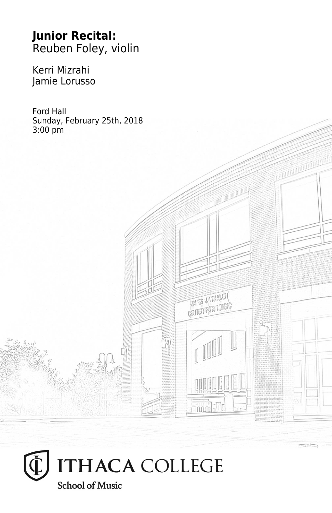# **Junior Recital:** Reuben Foley, violin

Kerri Mizrahi Jamie Lorusso

Ford Hall Sunday, February 25th, 2018 3:00 pm



**UNITED** SUPPORTS **CRITER FOR MUSIC**